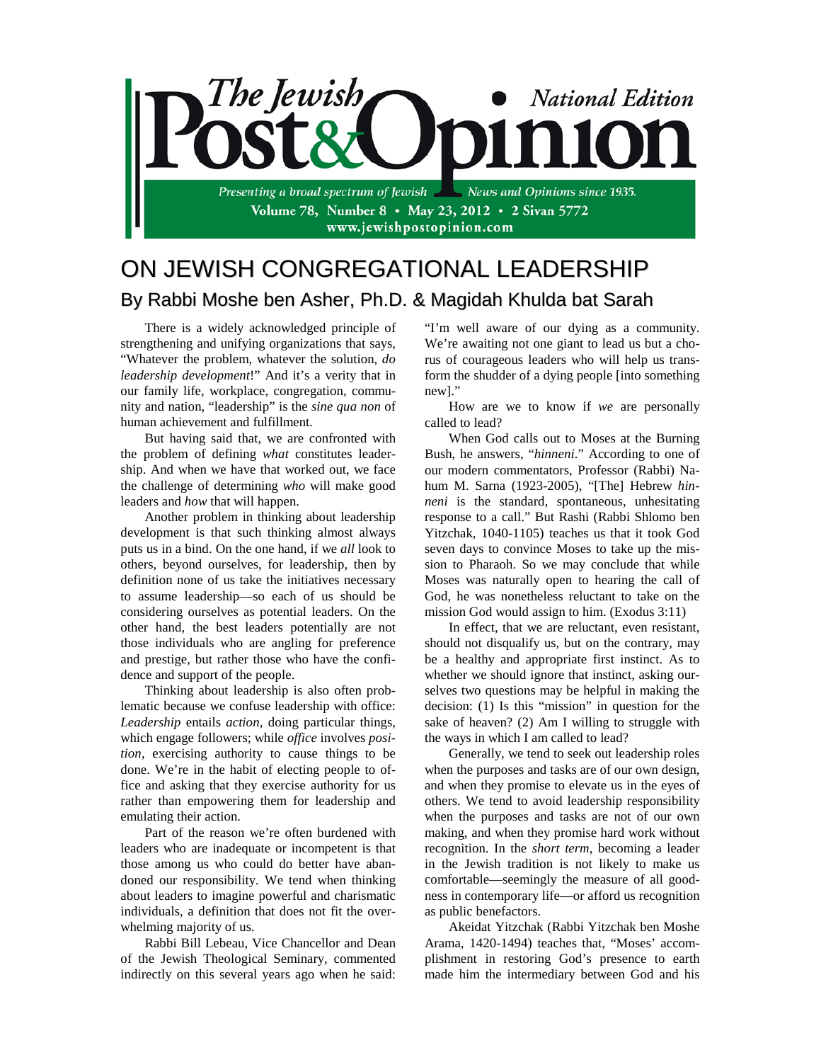

## ON JEWISH CONGREGATIONAL LEADERSHIP By Rabbi Moshe ben Asher, Ph.D. & Magidah Khulda bat Sarah

There is a widely acknowledged principle of strengthening and unifying organizations that says, "Whatever the problem, whatever the solution, *do leadership development*!" And it's a verity that in our family life, workplace, congregation, community and nation, "leadership" is the *sine qua non* of human achievement and fulfillment.

But having said that, we are confronted with the problem of defining *what* constitutes leadership. And when we have that worked out, we face the challenge of determining *who* will make good leaders and *how* that will happen.

Another problem in thinking about leadership development is that such thinking almost always puts us in a bind. On the one hand, if we *all* look to others, beyond ourselves, for leadership, then by definition none of us take the initiatives necessary to assume leadership—so each of us should be considering ourselves as potential leaders. On the other hand, the best leaders potentially are not those individuals who are angling for preference and prestige, but rather those who have the confidence and support of the people.

Thinking about leadership is also often problematic because we confuse leadership with office: *Leadership* entails *action*, doing particular things, which engage followers; while *office* involves *position*, exercising authority to cause things to be done. We're in the habit of electing people to office and asking that they exercise authority for us rather than empowering them for leadership and emulating their action.

Part of the reason we're often burdened with leaders who are inadequate or incompetent is that those among us who could do better have abandoned our responsibility. We tend when thinking about leaders to imagine powerful and charismatic individuals, a definition that does not fit the overwhelming majority of us.

Rabbi Bill Lebeau, Vice Chancellor and Dean of the Jewish Theological Seminary, commented indirectly on this several years ago when he said:

"I'm well aware of our dying as a community. We're awaiting not one giant to lead us but a chorus of courageous leaders who will help us transform the shudder of a dying people [into something new]."

How are we to know if *we* are personally called to lead?

When God calls out to Moses at the Burning Bush, he answers, "*hinneni*." According to one of our modern commentators, Professor (Rabbi) Nahum M. Sarna (1923-2005), "[The] Hebrew *hinneni* is the standard, spontaneous, unhesitating response to a call." But Rashi (Rabbi Shlomo ben Yitzchak, 1040-1105) teaches us that it took God seven days to convince Moses to take up the mission to Pharaoh. So we may conclude that while Moses was naturally open to hearing the call of God, he was nonetheless reluctant to take on the mission God would assign to him. (Exodus 3:11)

In effect, that we are reluctant, even resistant, should not disqualify us, but on the contrary, may be a healthy and appropriate first instinct. As to whether we should ignore that instinct, asking ourselves two questions may be helpful in making the decision: (1) Is this "mission" in question for the sake of heaven? (2) Am I willing to struggle with the ways in which I am called to lead?

Generally, we tend to seek out leadership roles when the purposes and tasks are of our own design, and when they promise to elevate us in the eyes of others. We tend to avoid leadership responsibility when the purposes and tasks are not of our own making, and when they promise hard work without recognition. In the *short term*, becoming a leader in the Jewish tradition is not likely to make us comfortable—seemingly the measure of all goodness in contemporary life—or afford us recognition as public benefactors.

Akeidat Yitzchak (Rabbi Yitzchak ben Moshe Arama, 1420-1494) teaches that, "Moses' accomplishment in restoring God's presence to earth made him the intermediary between God and his